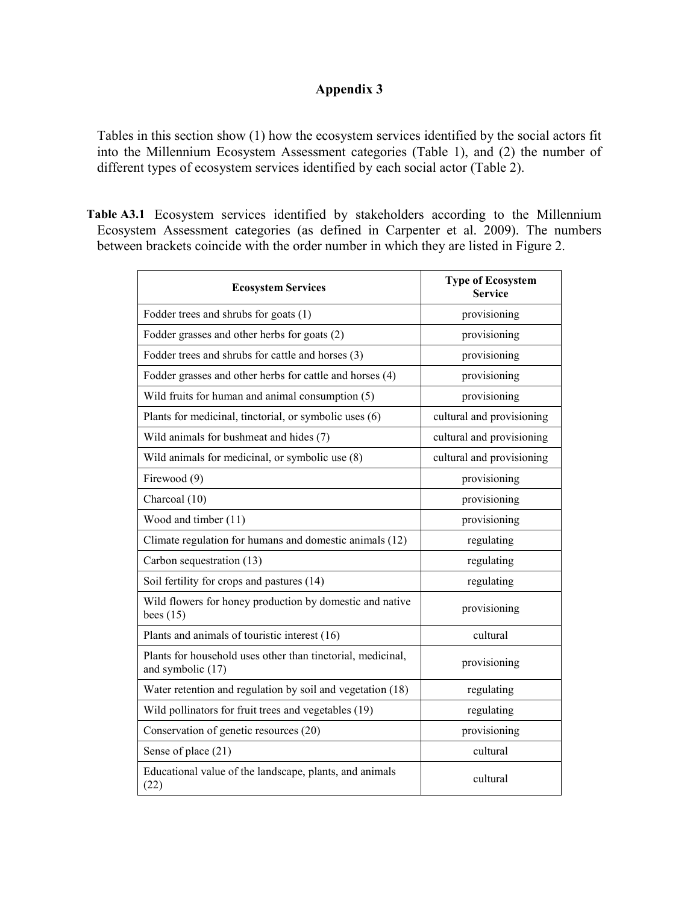## Appendix 3

Tables in this section show (1) how the ecosystem services identified by the social actors fit into the Millennium Ecosystem Assessment categories (Table 1), and (2) the number of different types of ecosystem services identified by each social actor (Table 2).

Table A3.1 Ecosystem services identified by stakeholders according to the Millennium Ecosystem Assessment categories (as defined in Carpenter et al. 2009). The numbers between brackets coincide with the order number in which they are listed in Figure 2.

| <b>Ecosystem Services</b>                                                        | <b>Type of Ecosystem</b><br><b>Service</b> |  |
|----------------------------------------------------------------------------------|--------------------------------------------|--|
| Fodder trees and shrubs for goats (1)                                            | provisioning                               |  |
| Fodder grasses and other herbs for goats (2)                                     | provisioning                               |  |
| Fodder trees and shrubs for cattle and horses (3)                                | provisioning                               |  |
| Fodder grasses and other herbs for cattle and horses (4)                         | provisioning                               |  |
| Wild fruits for human and animal consumption (5)                                 | provisioning                               |  |
| Plants for medicinal, tinctorial, or symbolic uses (6)                           | cultural and provisioning                  |  |
| Wild animals for bushmeat and hides (7)                                          | cultural and provisioning                  |  |
| Wild animals for medicinal, or symbolic use (8)                                  | cultural and provisioning                  |  |
| Firewood (9)                                                                     | provisioning                               |  |
| Charcoal (10)                                                                    | provisioning                               |  |
| Wood and timber (11)                                                             | provisioning                               |  |
| Climate regulation for humans and domestic animals (12)                          | regulating                                 |  |
| Carbon sequestration (13)                                                        | regulating                                 |  |
| Soil fertility for crops and pastures (14)                                       | regulating                                 |  |
| Wild flowers for honey production by domestic and native<br>bees $(15)$          | provisioning                               |  |
| Plants and animals of touristic interest (16)                                    | cultural                                   |  |
| Plants for household uses other than tinctorial, medicinal,<br>and symbolic (17) | provisioning                               |  |
| Water retention and regulation by soil and vegetation (18)                       | regulating                                 |  |
| Wild pollinators for fruit trees and vegetables (19)                             | regulating                                 |  |
| Conservation of genetic resources (20)                                           | provisioning                               |  |
| Sense of place (21)                                                              | cultural                                   |  |
| Educational value of the landscape, plants, and animals<br>(22)                  | cultural                                   |  |